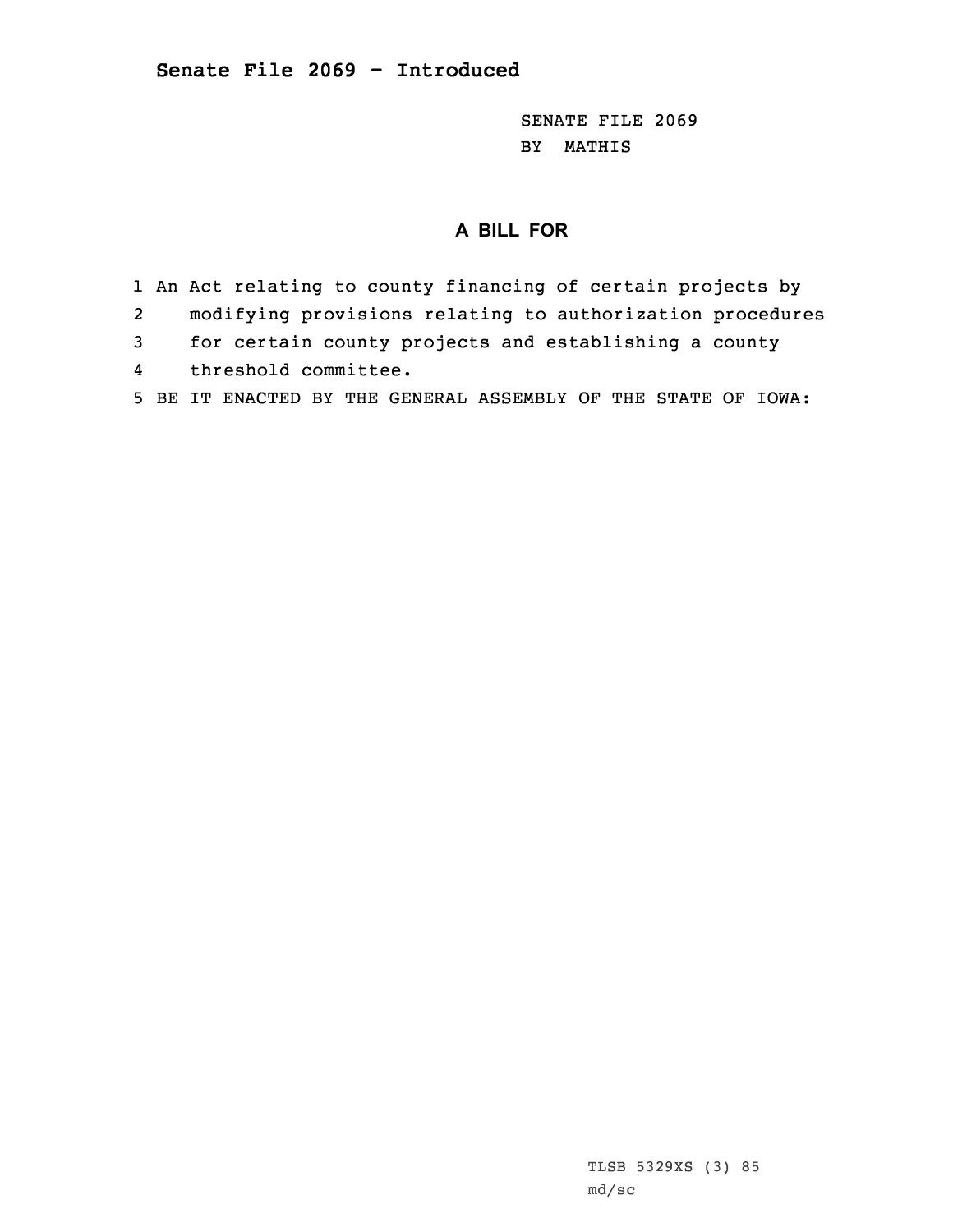SENATE FILE 2069 BY MATHIS

## **A BILL FOR**

- 1 An Act relating to county financing of certain projects by
- 2modifying provisions relating to authorization procedures
- 3 for certain county projects and establishing <sup>a</sup> county
- 4threshold committee.
- 5 BE IT ENACTED BY THE GENERAL ASSEMBLY OF THE STATE OF IOWA: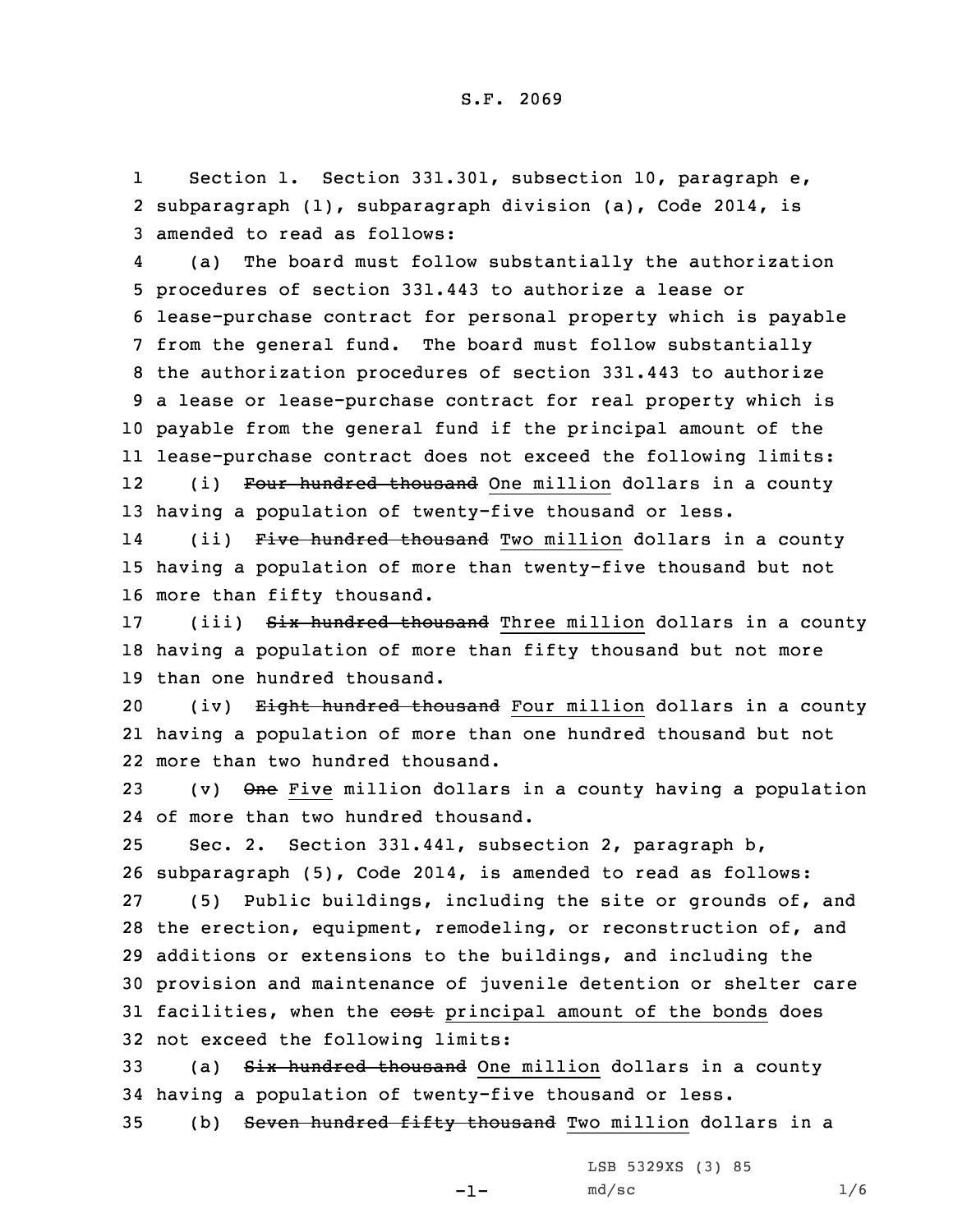1Section 1. Section 331.301, subsection 10, paragraph e, 2 subparagraph (1), subparagraph division (a), Code 2014, is 3 amended to read as follows:

4 (a) The board must follow substantially the authorization procedures of section 331.443 to authorize <sup>a</sup> lease or lease-purchase contract for personal property which is payable from the general fund. The board must follow substantially the authorization procedures of section 331.443 to authorize <sup>a</sup> lease or lease-purchase contract for real property which is payable from the general fund if the principal amount of the lease-purchase contract does not exceed the following limits: 12(i) Four hundred thousand One million dollars in a county

13 having <sup>a</sup> population of twenty-five thousand or less.

14(ii) Five hundred thousand Two million dollars in a county 15 having <sup>a</sup> population of more than twenty-five thousand but not 16 more than fifty thousand.

17 (iii) Six hundred thousand Three million dollars in a county 18 having <sup>a</sup> population of more than fifty thousand but not more 19 than one hundred thousand.

20 (iv) Eight hundred thousand Four million dollars in a county 21 having <sup>a</sup> population of more than one hundred thousand but not 22 more than two hundred thousand.

23 (v)  $\Theta$ ne Five million dollars in a county having a population 24 of more than two hundred thousand.

 Sec. 2. Section 331.441, subsection 2, paragraph b, subparagraph (5), Code 2014, is amended to read as follows: (5) Public buildings, including the site or grounds of, and the erection, equipment, remodeling, or reconstruction of, and additions or extensions to the buildings, and including the provision and maintenance of juvenile detention or shelter care 31 facilities, when the cost principal amount of the bonds does not exceed the following limits:

33 (a) Six hundred thousand One million dollars in a county 34 having <sup>a</sup> population of twenty-five thousand or less.

35 (b) Seven hundred fifty thousand Two million dollars in <sup>a</sup>

LSB 5329XS (3) 85

-1-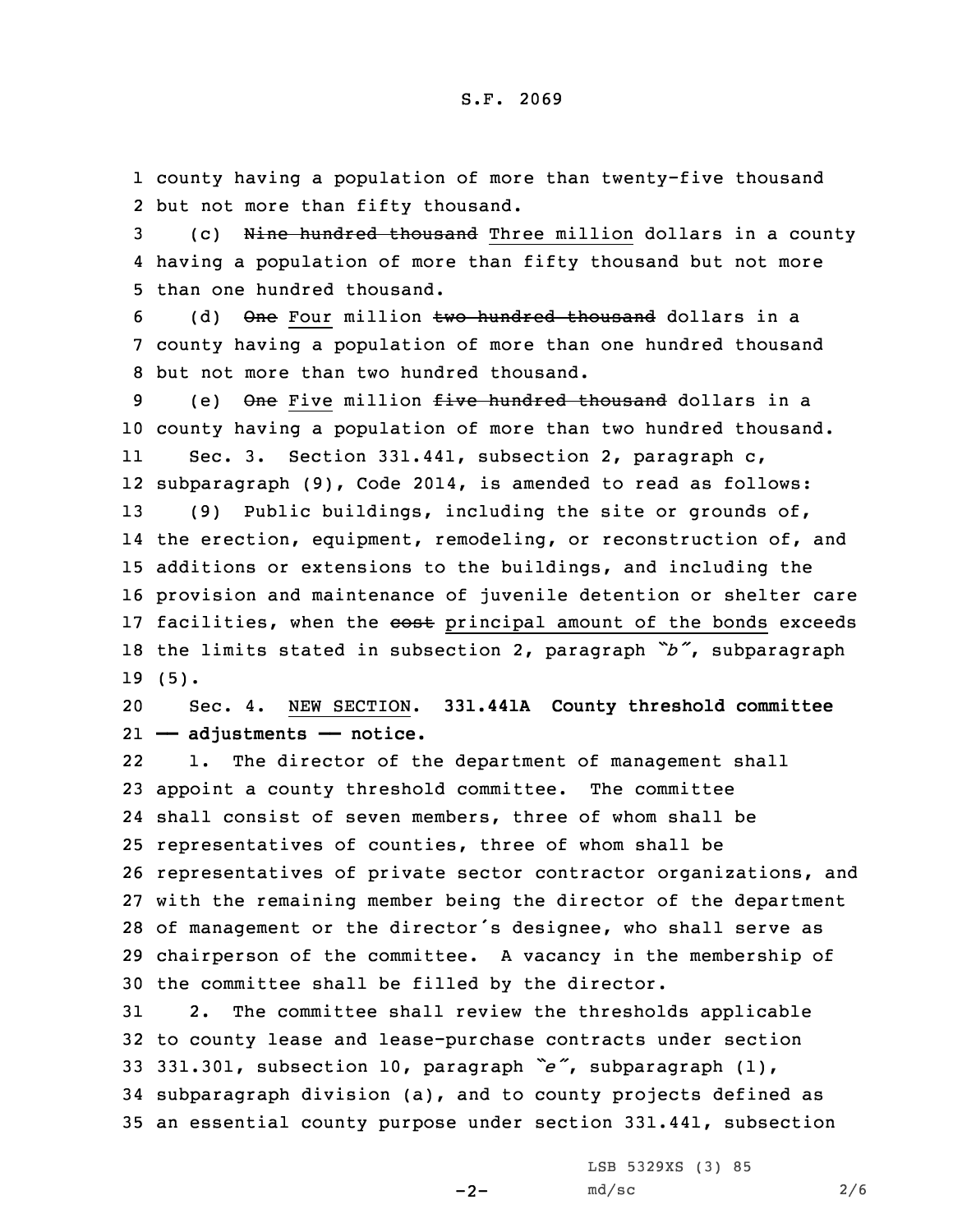1 county having <sup>a</sup> population of more than twenty-five thousand 2 but not more than fifty thousand.

3 (c) <del>Nine hundred thousand</del> Three million dollars in a county 4 having <sup>a</sup> population of more than fifty thousand but not more 5 than one hundred thousand.

6 (d) One Four million two hundred thousand dollars in a 7 county having <sup>a</sup> population of more than one hundred thousand 8 but not more than two hundred thousand.

9 (e) One Five million five hundred thousand dollars in a 10 county having <sup>a</sup> population of more than two hundred thousand. 11 Sec. 3. Section 331.441, subsection 2, paragraph c, 12 subparagraph (9), Code 2014, is amended to read as follows: 13 (9) Public buildings, including the site or grounds of, 14 the erection, equipment, remodeling, or reconstruction of, and 15 additions or extensions to the buildings, and including the 16 provision and maintenance of juvenile detention or shelter care 17 facilities, when the cost principal amount of the bonds exceeds <sup>18</sup> the limits stated in subsection 2, paragraph *"b"*, subparagraph 19 (5).

20 Sec. 4. NEW SECTION. **331.441A County threshold committee** 21 **—— adjustments —— notice.**

22 1. The director of the department of management shall appoint <sup>a</sup> county threshold committee. The committee shall consist of seven members, three of whom shall be representatives of counties, three of whom shall be representatives of private sector contractor organizations, and with the remaining member being the director of the department of management or the director's designee, who shall serve as chairperson of the committee. <sup>A</sup> vacancy in the membership of the committee shall be filled by the director.

 2. The committee shall review the thresholds applicable to county lease and lease-purchase contracts under section 331.301, subsection 10, paragraph *"e"*, subparagraph (1), subparagraph division (a), and to county projects defined as an essential county purpose under section 331.441, subsection

 $-2-$ 

LSB 5329XS (3) 85  $md/sec$  2/6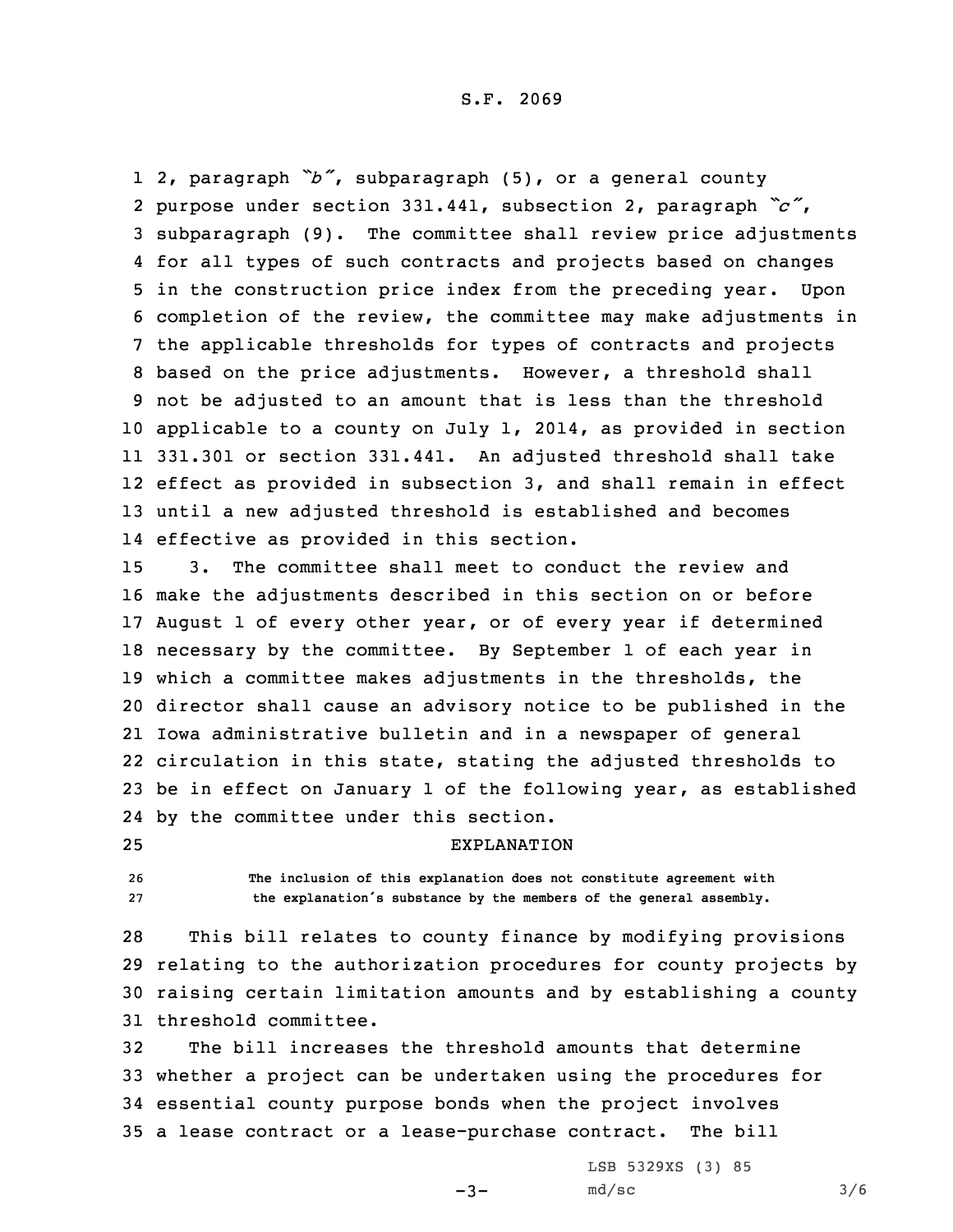2, paragraph *"b"*, subparagraph (5), or <sup>a</sup> general county purpose under section 331.441, subsection 2, paragraph *"c"*, subparagraph (9). The committee shall review price adjustments for all types of such contracts and projects based on changes in the construction price index from the preceding year. Upon completion of the review, the committee may make adjustments in the applicable thresholds for types of contracts and projects based on the price adjustments. However, <sup>a</sup> threshold shall not be adjusted to an amount that is less than the threshold applicable to <sup>a</sup> county on July 1, 2014, as provided in section 331.301 or section 331.441. An adjusted threshold shall take effect as provided in subsection 3, and shall remain in effect until <sup>a</sup> new adjusted threshold is established and becomes effective as provided in this section.

 3. The committee shall meet to conduct the review and make the adjustments described in this section on or before August 1 of every other year, or of every year if determined necessary by the committee. By September 1 of each year in which <sup>a</sup> committee makes adjustments in the thresholds, the director shall cause an advisory notice to be published in the Iowa administrative bulletin and in <sup>a</sup> newspaper of general circulation in this state, stating the adjusted thresholds to be in effect on January 1 of the following year, as established by the committee under this section.

25 EXPLANATION

26 **The inclusion of this explanation does not constitute agreement with** <sup>27</sup> **the explanation's substance by the members of the general assembly.**

 This bill relates to county finance by modifying provisions relating to the authorization procedures for county projects by raising certain limitation amounts and by establishing <sup>a</sup> county threshold committee.

 The bill increases the threshold amounts that determine whether <sup>a</sup> project can be undertaken using the procedures for essential county purpose bonds when the project involves <sup>a</sup> lease contract or <sup>a</sup> lease-purchase contract. The bill

 $-3-$ 

LSB 5329XS (3) 85  $md/sec$  3/6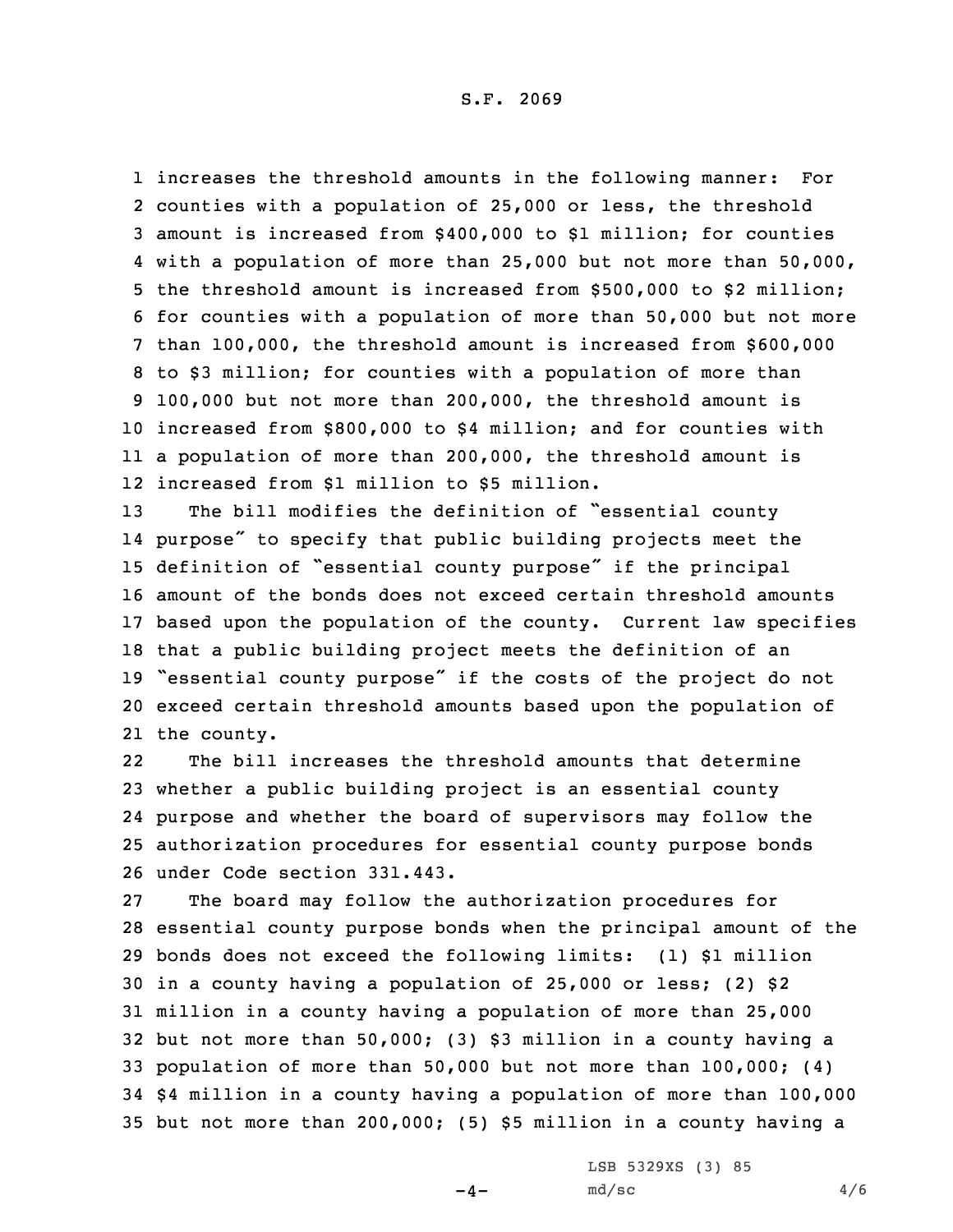S.F. 2069

 increases the threshold amounts in the following manner: For counties with <sup>a</sup> population of 25,000 or less, the threshold amount is increased from \$400,000 to \$1 million; for counties with <sup>a</sup> population of more than 25,000 but not more than 50,000, the threshold amount is increased from \$500,000 to \$2 million; for counties with <sup>a</sup> population of more than 50,000 but not more than 100,000, the threshold amount is increased from \$600,000 to \$3 million; for counties with <sup>a</sup> population of more than 100,000 but not more than 200,000, the threshold amount is increased from \$800,000 to \$4 million; and for counties with <sup>a</sup> population of more than 200,000, the threshold amount is increased from \$1 million to \$5 million.

 The bill modifies the definition of "essential county purpose" to specify that public building projects meet the definition of "essential county purpose" if the principal amount of the bonds does not exceed certain threshold amounts based upon the population of the county. Current law specifies that <sup>a</sup> public building project meets the definition of an "essential county purpose" if the costs of the project do not exceed certain threshold amounts based upon the population of the county.

22 The bill increases the threshold amounts that determine whether <sup>a</sup> public building project is an essential county purpose and whether the board of supervisors may follow the authorization procedures for essential county purpose bonds under Code section 331.443.

 The board may follow the authorization procedures for essential county purpose bonds when the principal amount of the bonds does not exceed the following limits: (1) \$1 million in <sup>a</sup> county having <sup>a</sup> population of 25,000 or less; (2) \$2 million in <sup>a</sup> county having <sup>a</sup> population of more than 25,000 but not more than 50,000; (3) \$3 million in <sup>a</sup> county having <sup>a</sup> population of more than 50,000 but not more than 100,000; (4) \$4 million in <sup>a</sup> county having <sup>a</sup> population of more than 100,000 but not more than 200,000; (5) \$5 million in <sup>a</sup> county having <sup>a</sup>

 $-4-$ 

LSB 5329XS (3) 85  $md/sec$  4/6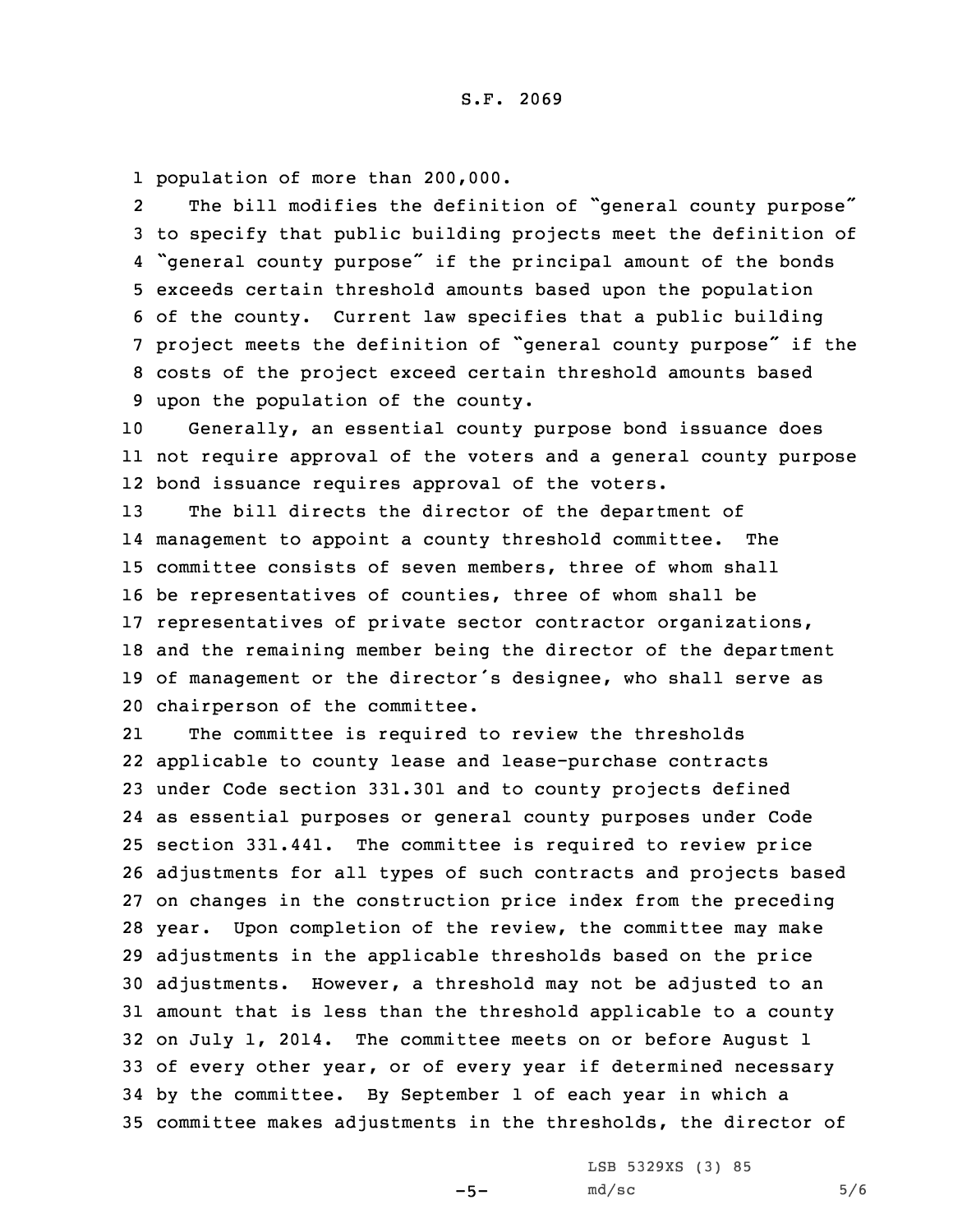1 population of more than 200,000.

2The bill modifies the definition of "general county purpose" to specify that public building projects meet the definition of "general county purpose" if the principal amount of the bonds exceeds certain threshold amounts based upon the population of the county. Current law specifies that <sup>a</sup> public building project meets the definition of "general county purpose" if the costs of the project exceed certain threshold amounts based upon the population of the county.

10 Generally, an essential county purpose bond issuance does 11 not require approval of the voters and <sup>a</sup> general county purpose 12 bond issuance requires approval of the voters.

 The bill directs the director of the department of management to appoint <sup>a</sup> county threshold committee. The committee consists of seven members, three of whom shall be representatives of counties, three of whom shall be representatives of private sector contractor organizations, and the remaining member being the director of the department of management or the director's designee, who shall serve as chairperson of the committee.

21 The committee is required to review the thresholds applicable to county lease and lease-purchase contracts under Code section 331.301 and to county projects defined as essential purposes or general county purposes under Code section 331.441. The committee is required to review price adjustments for all types of such contracts and projects based on changes in the construction price index from the preceding year. Upon completion of the review, the committee may make adjustments in the applicable thresholds based on the price adjustments. However, <sup>a</sup> threshold may not be adjusted to an amount that is less than the threshold applicable to <sup>a</sup> county on July 1, 2014. The committee meets on or before August 1 of every other year, or of every year if determined necessary by the committee. By September 1 of each year in which <sup>a</sup> committee makes adjustments in the thresholds, the director of

 $-5-$ 

LSB 5329XS (3) 85  $md/sec$  5/6